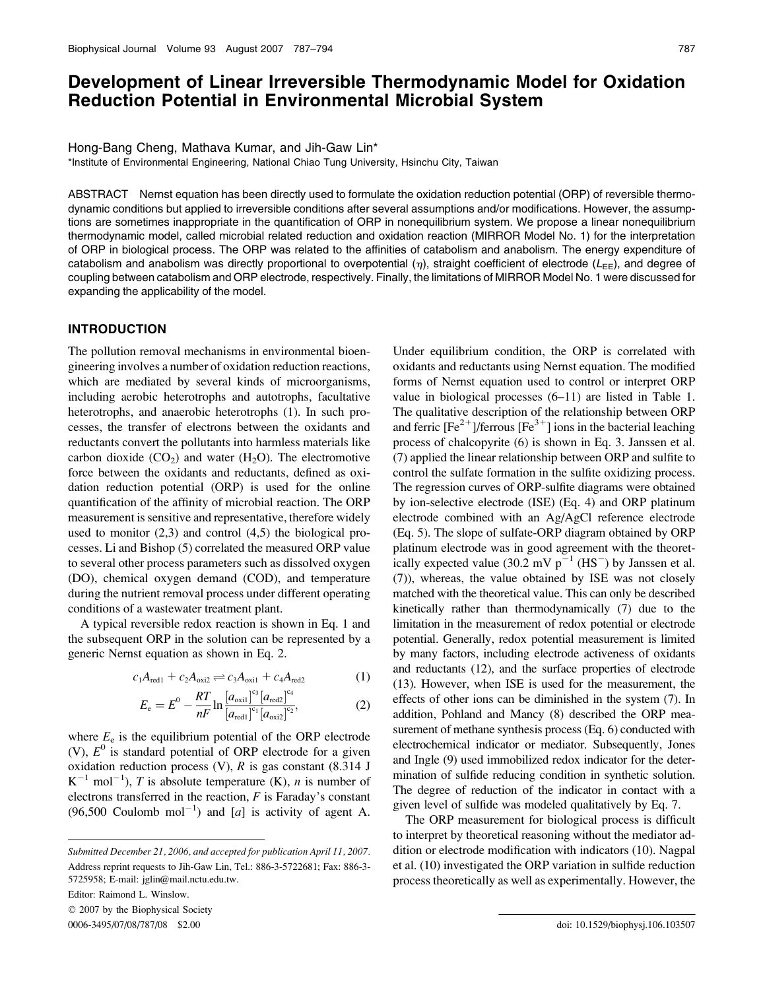# Development of Linear Irreversible Thermodynamic Model for Oxidation Reduction Potential in Environmental Microbial System

Hong-Bang Cheng, Mathava Kumar, and Jih-Gaw Lin\*

\*Institute of Environmental Engineering, National Chiao Tung University, Hsinchu City, Taiwan

ABSTRACT Nernst equation has been directly used to formulate the oxidation reduction potential (ORP) of reversible thermodynamic conditions but applied to irreversible conditions after several assumptions and/or modifications. However, the assumptions are sometimes inappropriate in the quantification of ORP in nonequilibrium system. We propose a linear nonequilibrium thermodynamic model, called microbial related reduction and oxidation reaction (MIRROR Model No. 1) for the interpretation of ORP in biological process. The ORP was related to the affinities of catabolism and anabolism. The energy expenditure of catabolism and anabolism was directly proportional to overpotential  $(\eta)$ , straight coefficient of electrode ( $L_{EE}$ ), and degree of coupling between catabolism and ORP electrode, respectively. Finally, the limitations of MIRROR Model No. 1 were discussed for expanding the applicability of the model.

### INTRODUCTION

The pollution removal mechanisms in environmental bioengineering involves a number of oxidation reduction reactions, which are mediated by several kinds of microorganisms, including aerobic heterotrophs and autotrophs, facultative heterotrophs, and anaerobic heterotrophs (1). In such processes, the transfer of electrons between the oxidants and reductants convert the pollutants into harmless materials like carbon dioxide  $(CO<sub>2</sub>)$  and water  $(H<sub>2</sub>O)$ . The electromotive force between the oxidants and reductants, defined as oxidation reduction potential (ORP) is used for the online quantification of the affinity of microbial reaction. The ORP measurement is sensitive and representative, therefore widely used to monitor  $(2,3)$  and control  $(4,5)$  the biological processes. Li and Bishop (5) correlated the measured ORP value to several other process parameters such as dissolved oxygen (DO), chemical oxygen demand (COD), and temperature during the nutrient removal process under different operating conditions of a wastewater treatment plant.

A typical reversible redox reaction is shown in Eq. 1 and the subsequent ORP in the solution can be represented by a generic Nernst equation as shown in Eq. 2.

$$
c_1 A_{\text{red1}} + c_2 A_{\text{oxi2}} \rightleftharpoons c_3 A_{\text{oxi1}} + c_4 A_{\text{red2}} \tag{1}
$$

$$
E_{e} = E^{0} - \frac{RT}{nF} \ln \frac{\left[a_{\text{oxid}}\right]^{\text{cs}} \left[a_{\text{red}}\right]^{\text{c}_{4}}}{\left[a_{\text{red}}\right]^{\text{c}_{1}} \left[a_{\text{oxid}}\right]^{\text{c}_{2}}},
$$
(2)

where  $E_e$  is the equilibrium potential of the ORP electrode (V),  $E^0$  is standard potential of ORP electrode for a given oxidation reduction process  $(V)$ , R is gas constant  $(8.314$  J  $K^{-1}$  mol<sup>-1</sup>), T is absolute temperature (K), n is number of electrons transferred in the reaction,  $F$  is Faraday's constant  $(96,500 \text{ Coulomb mol}^{-1})$  and [a] is activity of agent A.

Editor: Raimond L. Winslow.

 $© 2007$  by the Biophysical Society

Under equilibrium condition, the ORP is correlated with oxidants and reductants using Nernst equation. The modified forms of Nernst equation used to control or interpret ORP value in biological processes (6–11) are listed in Table 1. The qualitative description of the relationship between ORP and ferric  $[Fe^{2+}]$ /ferrous  $[Fe^{3+}]$  ions in the bacterial leaching process of chalcopyrite (6) is shown in Eq. 3. Janssen et al. (7) applied the linear relationship between ORP and sulfite to control the sulfate formation in the sulfite oxidizing process. The regression curves of ORP-sulfite diagrams were obtained by ion-selective electrode (ISE) (Eq. 4) and ORP platinum electrode combined with an Ag/AgCl reference electrode (Eq. 5). The slope of sulfate-ORP diagram obtained by ORP platinum electrode was in good agreement with the theoretically expected value (30.2 mV  $p^{-1}$  (HS<sup>-</sup>) by Janssen et al. (7)), whereas, the value obtained by ISE was not closely matched with the theoretical value. This can only be described kinetically rather than thermodynamically (7) due to the limitation in the measurement of redox potential or electrode potential. Generally, redox potential measurement is limited by many factors, including electrode activeness of oxidants and reductants (12), and the surface properties of electrode (13). However, when ISE is used for the measurement, the effects of other ions can be diminished in the system (7). In addition, Pohland and Mancy (8) described the ORP measurement of methane synthesis process (Eq. 6) conducted with electrochemical indicator or mediator. Subsequently, Jones and Ingle (9) used immobilized redox indicator for the determination of sulfide reducing condition in synthetic solution. The degree of reduction of the indicator in contact with a given level of sulfide was modeled qualitatively by Eq. 7.

The ORP measurement for biological process is difficult to interpret by theoretical reasoning without the mediator addition or electrode modification with indicators (10). Nagpal et al. (10) investigated the ORP variation in sulfide reduction process theoretically as well as experimentally. However, the

Submitted December 21, 2006, and accepted for publication April 11, 2007. Address reprint requests to Jih-Gaw Lin, Tel.: 886-3-5722681; Fax: 886-3- 5725958; E-mail: jglin@mail.nctu.edu.tw.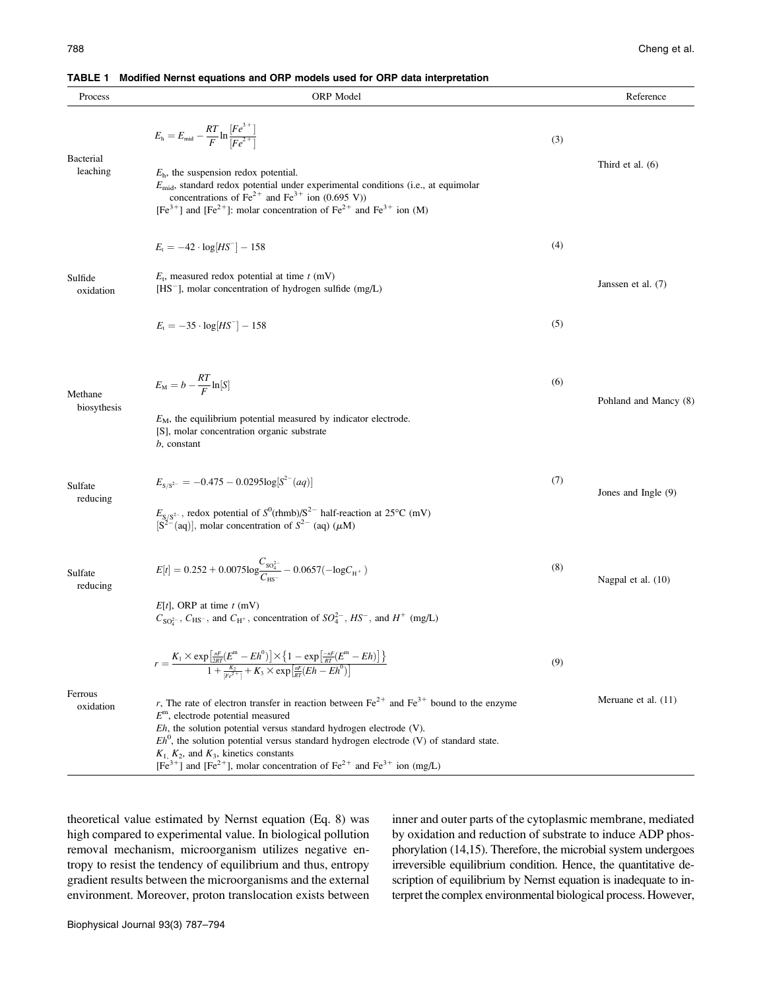|  | <b>TABLE 1</b> Modified Nernst equations and ORP models used for ORP data interpretation |  |
|--|------------------------------------------------------------------------------------------|--|
|  |                                                                                          |  |

| Process                      | ORP Model                                                                                                                                                                                                                                                                                                                                                                     |     | Reference             |
|------------------------------|-------------------------------------------------------------------------------------------------------------------------------------------------------------------------------------------------------------------------------------------------------------------------------------------------------------------------------------------------------------------------------|-----|-----------------------|
|                              | $E_{\rm h}=E_{\rm mid}-\frac{RT}{F}\ln\frac{[Fe^{3\,+}]}{[Fe^{2\,+}]}.$                                                                                                                                                                                                                                                                                                       | (3) |                       |
| <b>Bacterial</b><br>leaching | $Eh$ , the suspension redox potential.<br>$E_{\text{mid}}$ , standard redox potential under experimental conditions (i.e., at equimolar<br>concentrations of $\text{Fe}^{2+}$ and $\text{Fe}^{3+}$ ion (0.695 V))<br>$[Fe3+]$ and $[Fe2+]$ : molar concentration of $Fe2+$ and $Fe3+$ ion (M)                                                                                 |     | Third et al. (6)      |
| Sulfide<br>oxidation         | $E_t = -42 \cdot log[HS^{-}] - 158$                                                                                                                                                                                                                                                                                                                                           | (4) |                       |
|                              | $E_t$ , measured redox potential at time $t$ (mV)<br>$[HS^-]$ , molar concentration of hydrogen sulfide (mg/L)                                                                                                                                                                                                                                                                |     | Janssen et al. (7)    |
|                              | $E_t = -35 \cdot \log[HS^{-}] - 158$                                                                                                                                                                                                                                                                                                                                          | (5) |                       |
| Methane<br>biosythesis       | $E_{\rm M} = b - \frac{RT}{F} \ln[S]$                                                                                                                                                                                                                                                                                                                                         | (6) | Pohland and Mancy (8) |
|                              | $EM$ , the equilibrium potential measured by indicator electrode.<br>[S], molar concentration organic substrate<br><i>b</i> , constant                                                                                                                                                                                                                                        |     |                       |
| Sulfate<br>reducing          | $E_{S/S^{2-}} = -0.475 - 0.0295 \log[S^{2-}(aq)]$                                                                                                                                                                                                                                                                                                                             | (7) | Jones and Ingle (9)   |
|                              | $E_{S/S^{2-}}$ , redox potential of $S^0(\text{thmb})/S^{2-}$ half-reaction at 25°C (mV) [S <sup>2-</sup> (aq)], molar concentration of $S^{2-}$ (aq) ( $\mu$ M)                                                                                                                                                                                                              |     |                       |
| Sulfate<br>reducing          | $E[t] = 0.252 + 0.0075 \text{log} \frac{C_{\text{SO}_4^{2-}}}{C_{\text{uc}-}} - 0.0657 (-\text{log} C_{\text{H}^+})$                                                                                                                                                                                                                                                          | (8) | Nagpal et al. (10)    |
|                              | $E[t]$ , ORP at time $t$ (mV)<br>$C_{SO_4^{2-}}$ , $C_{HS^-}$ , and $C_{H^+}$ , concentration of $SO_4^{2-}$ , $HS^-$ , and $H^+$ (mg/L)                                                                                                                                                                                                                                      |     |                       |
|                              | $r=\frac{K_1\times \exp\left[\frac{nF}{2RT}(E^{\mathrm{m}}-Eh^0)\right]\times \left\{1-\exp\left[\frac{-nF}{RT}(E^{\mathrm{m}}-Eh)\right]\right\}}{1+\frac{K_2}{ F\epsilon^2 }+K_3\times \exp\left[\frac{nF}{RT}(Eh-Eh^0)\right]}$                                                                                                                                            | (9) |                       |
| Ferrous<br>oxidation         | r, The rate of electron transfer in reaction between $\text{Fe}^{2+}$ and $\text{Fe}^{3+}$ bound to the enzyme<br>$Em$ , electrode potential measured<br>$Eh$ , the solution potential versus standard hydrogen electrode (V).<br>$Eh^0$ , the solution potential versus standard hydrogen electrode (V) of standard state.<br>$K_1$ , $K_2$ , and $K_3$ , kinetics constants |     | Meruane et al. (11)   |
|                              | $[Fe3+]$ and $[Fe2+]$ , molar concentration of $Fe2+$ and $Fe3+$ ion (mg/L)                                                                                                                                                                                                                                                                                                   |     |                       |

theoretical value estimated by Nernst equation (Eq. 8) was high compared to experimental value. In biological pollution removal mechanism, microorganism utilizes negative entropy to resist the tendency of equilibrium and thus, entropy gradient results between the microorganisms and the external environment. Moreover, proton translocation exists between inner and outer parts of the cytoplasmic membrane, mediated by oxidation and reduction of substrate to induce ADP phosphorylation (14,15). Therefore, the microbial system undergoes irreversible equilibrium condition. Hence, the quantitative description of equilibrium by Nernst equation is inadequate to interpret the complex environmental biological process. However,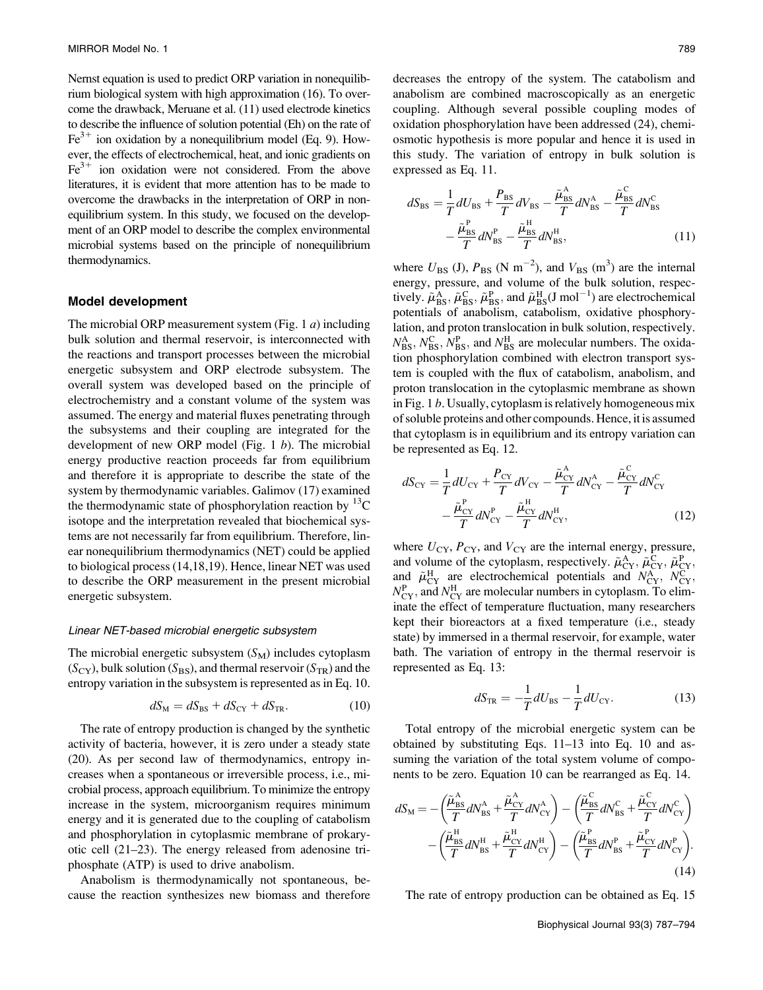Nernst equation is used to predict ORP variation in nonequilibrium biological system with high approximation (16). To overcome the drawback, Meruane et al. (11) used electrode kinetics to describe the influence of solution potential (Eh) on the rate of  $Fe<sup>3+</sup>$  ion oxidation by a nonequilibrium model (Eq. 9). However, the effects of electrochemical, heat, and ionic gradients on  $Fe<sup>3+</sup>$  ion oxidation were not considered. From the above literatures, it is evident that more attention has to be made to overcome the drawbacks in the interpretation of ORP in nonequilibrium system. In this study, we focused on the development of an ORP model to describe the complex environmental microbial systems based on the principle of nonequilibrium thermodynamics.

#### Model development

The microbial ORP measurement system (Fig. 1 $a$ ) including bulk solution and thermal reservoir, is interconnected with the reactions and transport processes between the microbial energetic subsystem and ORP electrode subsystem. The overall system was developed based on the principle of electrochemistry and a constant volume of the system was assumed. The energy and material fluxes penetrating through the subsystems and their coupling are integrated for the development of new ORP model (Fig. 1 $b$ ). The microbial energy productive reaction proceeds far from equilibrium and therefore it is appropriate to describe the state of the system by thermodynamic variables. Galimov (17) examined the thermodynamic state of phosphorylation reaction by  ${}^{13}C$ isotope and the interpretation revealed that biochemical systems are not necessarily far from equilibrium. Therefore, linear nonequilibrium thermodynamics (NET) could be applied to biological process (14,18,19). Hence, linear NET was used to describe the ORP measurement in the present microbial energetic subsystem.

#### Linear NET-based microbial energetic subsystem

The microbial energetic subsystem  $(S_M)$  includes cytoplasm  $(S_{CY})$ , bulk solution  $(S_{BS})$ , and thermal reservoir  $(S_{TR})$  and the entropy variation in the subsystem is represented as in Eq. 10.

$$
dS_{\rm M} = dS_{\rm BS} + dS_{\rm CY} + dS_{\rm TR}.\tag{10}
$$

The rate of entropy production is changed by the synthetic activity of bacteria, however, it is zero under a steady state (20). As per second law of thermodynamics, entropy increases when a spontaneous or irreversible process, i.e., microbial process, approach equilibrium. To minimize the entropy increase in the system, microorganism requires minimum energy and it is generated due to the coupling of catabolism and phosphorylation in cytoplasmic membrane of prokaryotic cell (21–23). The energy released from adenosine triphosphate (ATP) is used to drive anabolism.

Anabolism is thermodynamically not spontaneous, because the reaction synthesizes new biomass and therefore

decreases the entropy of the system. The catabolism and anabolism are combined macroscopically as an energetic coupling. Although several possible coupling modes of oxidation phosphorylation have been addressed (24), chemiosmotic hypothesis is more popular and hence it is used in this study. The variation of entropy in bulk solution is expressed as Eq. 11.

$$
dS_{\rm BS} = \frac{1}{T} dU_{\rm BS} + \frac{P_{\rm BS}}{T} dV_{\rm BS} - \frac{\tilde{\mu}_{\rm BS}^{\rm A}}{T} dN_{\rm BS}^{\rm A} - \frac{\tilde{\mu}_{\rm BS}^{\rm C}}{T} dN_{\rm BS}^{\rm C}
$$

$$
-\frac{\tilde{\mu}_{\rm BS}^{\rm P}}{T} dN_{\rm BS}^{\rm P} - \frac{\tilde{\mu}_{\rm BS}^{\rm H}}{T} dN_{\rm BS}^{\rm H},\tag{11}
$$

where  $U_{\rm BS}$  (J),  $P_{\rm BS}$  (N m<sup>-2</sup>), and  $V_{\rm BS}$  (m<sup>3</sup>) are the internal energy, pressure, and volume of the bulk solution, respectively.  $\tilde{\mu}_{BS}^{A}$ ,  $\tilde{\mu}_{BS}^{C}$ ,  $\tilde{\mu}_{BS}^{P}$ , and  $\tilde{\mu}_{BS}^{H}(J \text{ mol}^{-1})$  are electrochemical potentials of anabolism, catabolism, oxidative phosphorylation, and proton translocation in bulk solution, respectively.  $N_{\rm BS}^{\rm A}, N_{\rm BS}^{\rm C}, N_{\rm BS}^{\rm P}$ , and  $N_{\rm BS}^{\rm H}$  are molecular numbers. The oxidation phosphorylation combined with electron transport system is coupled with the flux of catabolism, anabolism, and proton translocation in the cytoplasmic membrane as shown in Fig. 1 b. Usually, cytoplasm is relatively homogeneous mix of soluble proteins and other compounds. Hence, it is assumed that cytoplasm is in equilibrium and its entropy variation can be represented as Eq. 12.

$$
dS_{CY} = \frac{1}{T} dU_{CY} + \frac{P_{CY}}{T} dV_{CY} - \frac{\tilde{\mu}_{CY}^{\text{A}}}{T} dN_{CY}^{\text{A}} - \frac{\tilde{\mu}_{CY}^{\text{C}}}{T} dN_{CY}^{\text{C}} - \frac{\tilde{\mu}_{CY}^{\text{P}}}{T} dN_{CY}^{\text{P}} - \frac{\tilde{\mu}_{CY}^{\text{B}}}{T} dN_{CY}^{\text{H}} \tag{12}
$$

where  $U_{CY}$ ,  $P_{CY}$ , and  $V_{CY}$  are the internal energy, pressure, and volume of the cytoplasm, respectively.  $\tilde{\mu}^A_{CY}, \tilde{\mu}^C_{CY}, \tilde{\mu}^P_{CY}$ and  $\tilde{\mu}_{CY}^H$  are electrochemical potentials and  $N_{CY}^A$ ,  $N_{CY}^C$ ,  $N_{CY}^{\text{P}}$ , and  $N_{CY}^{\text{H}}$  are molecular numbers in cytoplasm. To eliminate the effect of temperature fluctuation, many researchers kept their bioreactors at a fixed temperature (i.e., steady state) by immersed in a thermal reservoir, for example, water bath. The variation of entropy in the thermal reservoir is represented as Eq. 13:

$$
dS_{\text{TR}} = -\frac{1}{T}dU_{\text{BS}} - \frac{1}{T}dU_{\text{CY}}.\tag{13}
$$

Total entropy of the microbial energetic system can be obtained by substituting Eqs. 11–13 into Eq. 10 and assuming the variation of the total system volume of components to be zero. Equation 10 can be rearranged as Eq. 14.

$$
dS_{\rm M} = -\left(\frac{\tilde{\mu}_{\rm BS}^{\rm A}}{T}dN_{\rm BS}^{\rm A} + \frac{\tilde{\mu}_{\rm CY}^{\rm A}}{T}dN_{\rm CY}^{\rm A}\right) - \left(\frac{\tilde{\mu}_{\rm BS}^{\rm C}}{T}dN_{\rm BS}^{\rm C} + \frac{\tilde{\mu}_{\rm CY}^{\rm C}}{T}dN_{\rm CY}^{\rm C}\right) -\left(\frac{\tilde{\mu}_{\rm BS}^{\rm H}}{T}dN_{\rm BS}^{\rm H} + \frac{\tilde{\mu}_{\rm CY}^{\rm H}}{T}dN_{\rm CY}^{\rm H}\right) - \left(\frac{\tilde{\mu}_{\rm BS}^{\rm P}}{T}dN_{\rm BS}^{\rm P} + \frac{\tilde{\mu}_{\rm CY}^{\rm P}}{T}dN_{\rm CY}^{\rm P}\right).
$$
\n(14)

The rate of entropy production can be obtained as Eq. 15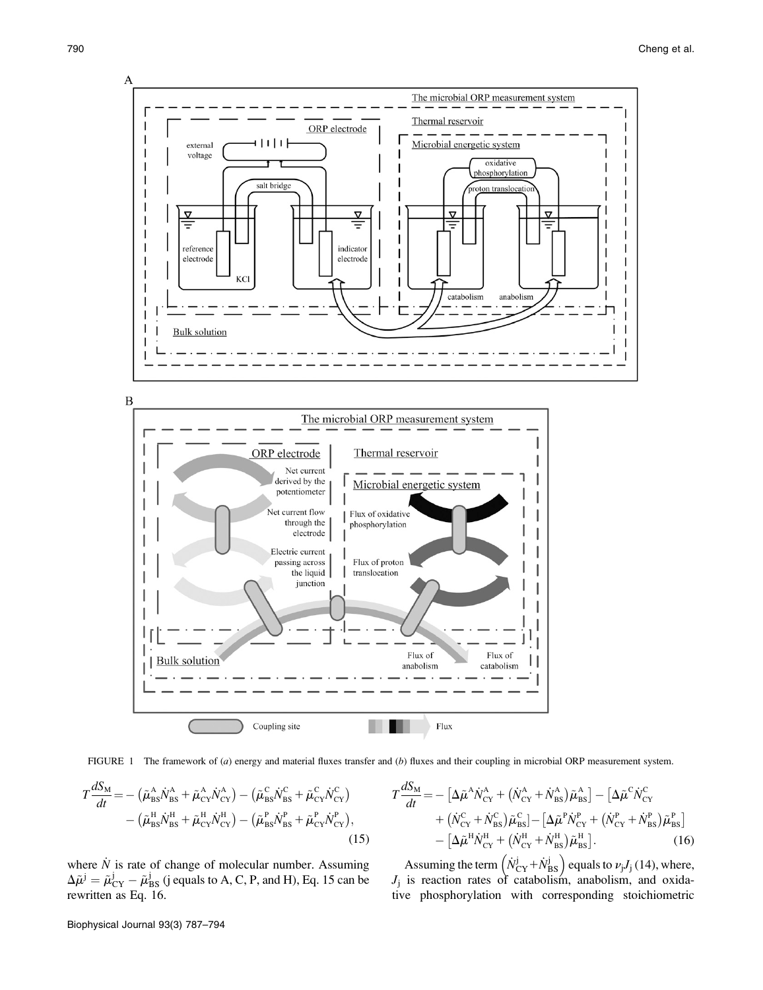

 $\boldsymbol{B}$ 





$$
T\frac{dS_{\rm M}}{dt} = -\left(\tilde{\mu}_{\rm BS}^{\rm A}\dot{N}_{\rm BS}^{\rm A} + \tilde{\mu}_{\rm CY}^{\rm A}\dot{N}_{\rm CY}^{\rm A}\right) - \left(\tilde{\mu}_{\rm BS}^{\rm C}\dot{N}_{\rm BS}^{\rm C} + \tilde{\mu}_{\rm CY}^{\rm C}\dot{N}_{\rm CY}^{\rm C}\right) - \left(\tilde{\mu}_{\rm BS}^{\rm H}\dot{N}_{\rm BS}^{\rm H} + \tilde{\mu}_{\rm CY}^{\rm H}\dot{N}_{\rm CY}^{\rm H}\right) - \left(\tilde{\mu}_{\rm BS}^{\rm P}\dot{N}_{\rm BS}^{\rm P} + \tilde{\mu}_{\rm CY}^{\rm P}\dot{N}_{\rm CY}^{\rm P}\right),
$$
\n(15)

where  $\dot{N}$  is rate of change of molecular number. Assuming  $\Delta \tilde{\mu}^j = \tilde{\mu}^j_{CY} - \tilde{\mu}^j_{BS}$  (j equals to A, C, P, and H), Eq. 15 can be rewritten as Eq. 16.

$$
T\frac{dS_{\rm M}}{dt} = -\left[\Delta\tilde{\mu}^{\rm A}\dot{N}_{\rm CY}^{\rm A} + (\dot{N}_{\rm CY}^{\rm A} + \dot{N}_{\rm BS}^{\rm A})\tilde{\mu}_{\rm BS}^{\rm A}\right] - \left[\Delta\tilde{\mu}^{\rm C}\dot{N}_{\rm CY}^{\rm C} + (\dot{N}_{\rm CY}^{\rm C} + \dot{N}_{\rm BS}^{\rm C})\tilde{\mu}_{\rm BS}^{\rm C}\right] - \left[\Delta\tilde{\mu}^{\rm H}\dot{N}_{\rm CY}^{\rm H} + (\dot{N}_{\rm CY}^{\rm H} + \dot{N}_{\rm BS}^{\rm H})\tilde{\mu}_{\rm BS}^{\rm H}\right].
$$
\n(16)

Assuming the term  $(\dot{N}_{\rm CY}^j + \dot{N}_{\rm BS}^j)$  equals to  $\nu_j J_j$  (14), where,  $J_j$  is reaction rates of catabolism, anabolism, and oxidative phosphorylation with corresponding stoichiometric

Biophysical Journal 93(3) 787–794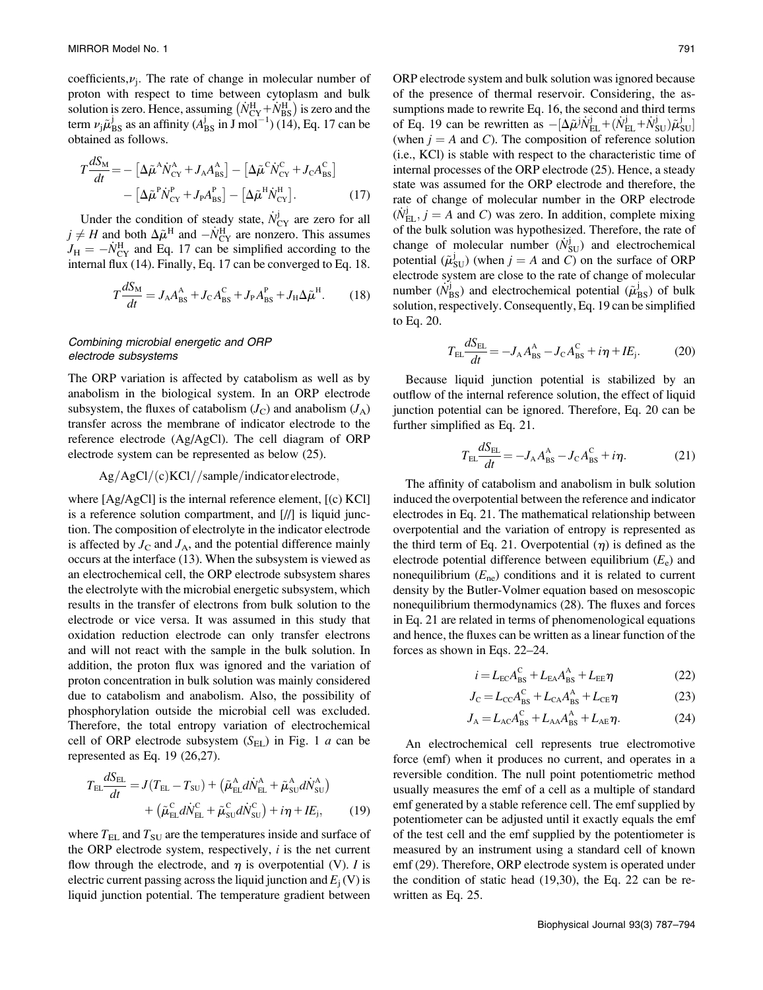coefficients,  $\nu_j$ . The rate of change in molecular number of proton with respect to time between cytoplasm and bulk solution is zero. Hence, assuming  $(N_{CY}^H + N_{BS}^H)$  is zero and the term  $\nu_j \tilde{\mu}_{BS}^j$  as an affinity  $(A_{BS}^j \text{ in } J \text{ mol}^{-1})$  (14), Eq. 17 can be obtained as follows.

$$
T\frac{dS_{\rm M}}{dt} = -\left[\Delta\tilde{\mu}^{\rm A}\dot{N}_{\rm CY}^{\rm A} + J_{\rm A}A_{\rm BS}^{\rm A}\right] - \left[\Delta\tilde{\mu}^{\rm C}\dot{N}_{\rm CY}^{\rm C} + J_{\rm C}A_{\rm BS}^{\rm C}\right] - \left[\Delta\tilde{\mu}^{\rm P}\dot{N}_{\rm CY}^{\rm P} + J_{\rm P}A_{\rm BS}^{\rm P}\right] - \left[\Delta\tilde{\mu}^{\rm H}\dot{N}_{\rm CY}^{\rm H}\right].
$$
 (17)

Under the condition of steady state,  $\dot{N}_{CY}^{j}$  are zero for all  $j \neq H$  and both  $\Delta \tilde{\mu}^H$  and  $-N_{CY}^H$  are nonzero. This assumes  $J_H = -N_{CY}^H$  and Eq. 17 can be simplified according to the internal flux (14). Finally, Eq. 17 can be converged to Eq. 18.

$$
T\frac{dS_{\rm M}}{dt} = J_{\rm A}A_{\rm BS}^{\rm A} + J_{\rm C}A_{\rm BS}^{\rm C} + J_{\rm P}A_{\rm BS}^{\rm P} + J_{\rm H}\Delta\tilde{\mu}^{\rm H}.\tag{18}
$$

## Combining microbial energetic and ORP electrode subsystems

The ORP variation is affected by catabolism as well as by anabolism in the biological system. In an ORP electrode subsystem, the fluxes of catabolism  $(J_C)$  and anabolism  $(J_A)$ transfer across the membrane of indicator electrode to the reference electrode (Ag/AgCl). The cell diagram of ORP electrode system can be represented as below (25).

## $Ag/AgCl/(c)KCl//sample/indicate$

where [Ag/AgCl] is the internal reference element, [(c) KCl] is a reference solution compartment, and [//] is liquid junction. The composition of electrolyte in the indicator electrode is affected by  $J_C$  and  $J_A$ , and the potential difference mainly occurs at the interface (13). When the subsystem is viewed as an electrochemical cell, the ORP electrode subsystem shares the electrolyte with the microbial energetic subsystem, which results in the transfer of electrons from bulk solution to the electrode or vice versa. It was assumed in this study that oxidation reduction electrode can only transfer electrons and will not react with the sample in the bulk solution. In addition, the proton flux was ignored and the variation of proton concentration in bulk solution was mainly considered due to catabolism and anabolism. Also, the possibility of phosphorylation outside the microbial cell was excluded. Therefore, the total entropy variation of electrochemical cell of ORP electrode subsystem  $(S<sub>EL</sub>)$  in Fig. 1 a can be represented as Eq. 19 (26,27).

$$
T_{\rm EL} \frac{dS_{\rm EL}}{dt} = J(T_{\rm EL} - T_{\rm SU}) + \left(\tilde{\mu}_{\rm EL}^{\rm A} d\dot{N}_{\rm EL}^{\rm A} + \tilde{\mu}_{\rm SU}^{\rm A} d\dot{N}_{\rm SU}^{\rm A}\right) + \left(\tilde{\mu}_{\rm EL}^{\rm C} d\dot{N}_{\rm EL}^{\rm C} + \tilde{\mu}_{\rm SU}^{\rm C} d\dot{N}_{\rm SU}^{\rm C}\right) + i\eta + I E_{\rm j},
$$
(19)

where  $T_{EL}$  and  $T_{SU}$  are the temperatures inside and surface of the ORP electrode system, respectively,  $i$  is the net current flow through the electrode, and  $\eta$  is overpotential (V). I is electric current passing across the liquid junction and  $E_j(V)$  is liquid junction potential. The temperature gradient between

ORP electrode system and bulk solution was ignored because of the presence of thermal reservoir. Considering, the assumptions made to rewrite Eq. 16, the second and third terms of Eq. 19 can be rewritten as  $-[\Delta \tilde{\mu}^j \tilde{N}_{\rm EL}^j + (\tilde{N}_{\rm EL}^j + \tilde{N}_{\rm SU}^j) \tilde{\mu}_{\rm SU}^j]$ (when  $j = A$  and C). The composition of reference solution (i.e., KCl) is stable with respect to the characteristic time of internal processes of the ORP electrode (25). Hence, a steady state was assumed for the ORP electrode and therefore, the rate of change of molecular number in the ORP electrode  $(N_{\text{EL}}^j, j = A \text{ and } C)$  was zero. In addition, complete mixing of the bulk solution was hypothesized. Therefore, the rate of change of molecular number  $(N_{\text{SU}}^j)$  and electrochemical potential  $(\tilde{\mu}_{\text{SU}}^j)$  (when  $j = A$  and C) on the surface of ORP electrode system are close to the rate of change of molecular number  $(N_{\text{BS}}^j)$  and electrochemical potential  $(\tilde{\mu}_{\text{BS}}^j)$  of bulk solution, respectively. Consequently, Eq. 19 can be simplified to Eq. 20.

$$
T_{\rm EL} \frac{dS_{\rm EL}}{dt} = -J_{\rm A} A_{\rm BS}^{\rm A} - J_{\rm C} A_{\rm BS}^{\rm C} + i\eta + I E_{\rm j}.
$$
 (20)

Because liquid junction potential is stabilized by an outflow of the internal reference solution, the effect of liquid junction potential can be ignored. Therefore, Eq. 20 can be further simplified as Eq. 21.

$$
T_{\rm EL} \frac{dS_{\rm EL}}{dt} = -J_{\rm A} A_{\rm BS}^{\rm A} - J_{\rm C} A_{\rm BS}^{\rm C} + i\eta. \tag{21}
$$

The affinity of catabolism and anabolism in bulk solution induced the overpotential between the reference and indicator electrodes in Eq. 21. The mathematical relationship between overpotential and the variation of entropy is represented as the third term of Eq. 21. Overpotential  $(\eta)$  is defined as the electrode potential difference between equilibrium  $(E_e)$  and nonequilibrium  $(E_{\text{ne}})$  conditions and it is related to current density by the Butler-Volmer equation based on mesoscopic nonequilibrium thermodynamics (28). The fluxes and forces in Eq. 21 are related in terms of phenomenological equations and hence, the fluxes can be written as a linear function of the forces as shown in Eqs. 22–24.

$$
i = L_{\rm EC} A_{\rm BS}^{\rm C} + L_{\rm EA} A_{\rm BS}^{\rm A} + L_{\rm EE} \eta \tag{22}
$$

$$
J_{\rm C} = L_{\rm CC} A_{\rm BS}^{\rm C} + L_{\rm CA} A_{\rm BS}^{\rm A} + L_{\rm CE} \eta \tag{23}
$$

$$
J_{\rm A} = L_{\rm AC} A_{\rm BS}^{\rm C} + L_{\rm AA} A_{\rm BS}^{\rm A} + L_{\rm AE} \eta. \tag{24}
$$

An electrochemical cell represents true electromotive force (emf) when it produces no current, and operates in a reversible condition. The null point potentiometric method usually measures the emf of a cell as a multiple of standard emf generated by a stable reference cell. The emf supplied by potentiometer can be adjusted until it exactly equals the emf of the test cell and the emf supplied by the potentiometer is measured by an instrument using a standard cell of known emf (29). Therefore, ORP electrode system is operated under the condition of static head (19,30), the Eq. 22 can be rewritten as Eq. 25.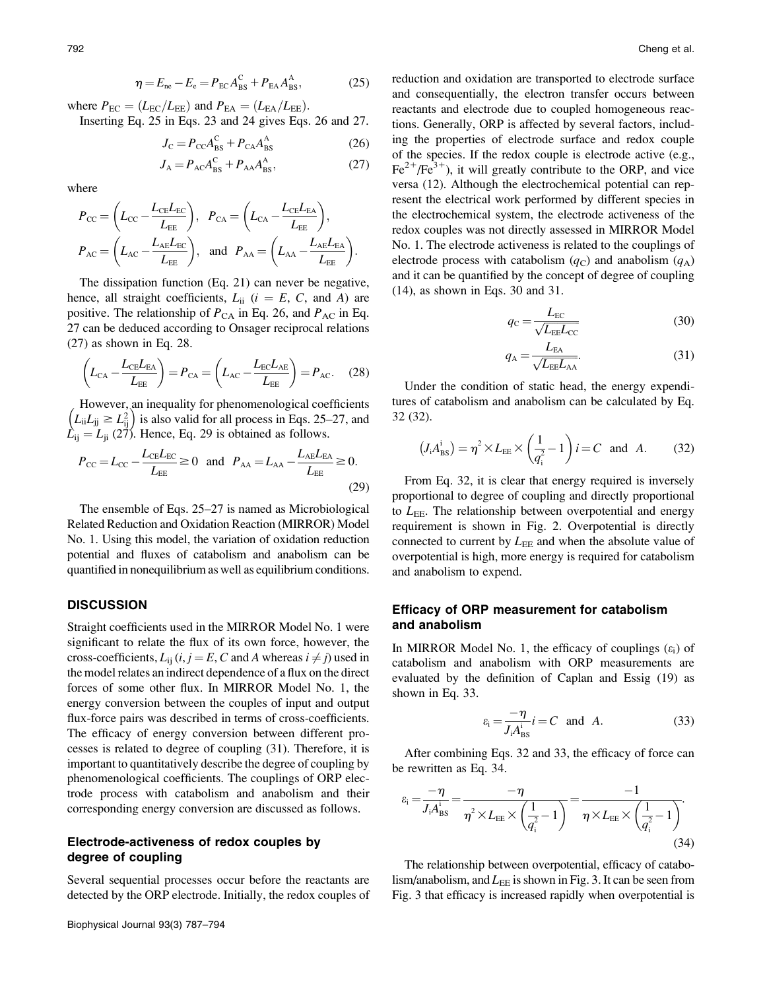$$
\eta = E_{\text{ne}} - E_{\text{e}} = P_{\text{EC}} A_{\text{BS}}^{\text{C}} + P_{\text{EA}} A_{\text{BS}}^{\text{A}},\tag{25}
$$

where  $P_{EC} = (L_{EC}/L_{EE})$  and  $P_{EA} = (L_{EA}/L_{EE})$ . Inserting Eq. 25 in Eqs. 23 and 24 gives Eqs. 26 and 27.

$$
J_{\rm C} = P_{\rm CC} A_{\rm BS}^{\rm C} + P_{\rm CA} A_{\rm BS}^{\rm A} \tag{26}
$$

$$
J_A = P_{AC} A_{BS}^C + P_{AA} A_{BS}^A,\tag{27}
$$

where

$$
P_{\rm CC} = \left(L_{\rm CC} - \frac{L_{\rm CE}L_{\rm EC}}{L_{\rm EE}}\right), \quad P_{\rm CA} = \left(L_{\rm CA} - \frac{L_{\rm CE}L_{\rm EA}}{L_{\rm EE}}\right),
$$

$$
P_{\rm AC} = \left(L_{\rm AC} - \frac{L_{\rm AE}L_{\rm EC}}{L_{\rm EE}}\right), \quad \text{and} \quad P_{\rm AA} = \left(L_{\rm AA} - \frac{L_{\rm AE}L_{\rm EA}}{L_{\rm EE}}\right).
$$

The dissipation function (Eq. 21) can never be negative, hence, all straight coefficients,  $L_{ii}$  ( $i = E, C$ , and A) are positive. The relationship of  $P_{CA}$  in Eq. 26, and  $P_{AC}$  in Eq. 27 can be deduced according to Onsager reciprocal relations (27) as shown in Eq. 28.

$$
\left(L_{\text{CA}} - \frac{L_{\text{CE}}L_{\text{EA}}}{L_{\text{EE}}}\right) = P_{\text{CA}} = \left(L_{\text{AC}} - \frac{L_{\text{EC}}L_{\text{AE}}}{L_{\text{EE}}}\right) = P_{\text{AC}}.\tag{28}
$$

However, an inequality for phenomenological coefficients  $(L_{\text{ii}}L_{\text{jj}} \ge L_{\text{ij}}^2)$  is also valid for all process in Eqs. 25–27, and  $\dot{L}_{ij} = L_{ji}$  (27). Hence, Eq. 29 is obtained as follows.

$$
P_{\rm CC} = L_{\rm CC} - \frac{L_{\rm CE}L_{\rm EC}}{L_{\rm EE}} \ge 0 \quad \text{and} \quad P_{\rm AA} = L_{\rm AA} - \frac{L_{\rm AE}L_{\rm EA}}{L_{\rm EE}} \ge 0. \tag{29}
$$

The ensemble of Eqs. 25–27 is named as Microbiological Related Reduction and Oxidation Reaction (MIRROR) Model No. 1. Using this model, the variation of oxidation reduction potential and fluxes of catabolism and anabolism can be quantified in nonequilibrium as well as equilibrium conditions.

## **DISCUSSION**

Straight coefficients used in the MIRROR Model No. 1 were significant to relate the flux of its own force, however, the cross-coefficients,  $L_{ii}$  (i,  $j = E$ , C and A whereas  $i \neq j$ ) used in the model relates an indirect dependence of a flux on the direct forces of some other flux. In MIRROR Model No. 1, the energy conversion between the couples of input and output flux-force pairs was described in terms of cross-coefficients. The efficacy of energy conversion between different processes is related to degree of coupling (31). Therefore, it is important to quantitatively describe the degree of coupling by phenomenological coefficients. The couplings of ORP electrode process with catabolism and anabolism and their corresponding energy conversion are discussed as follows.

# Electrode-activeness of redox couples by degree of coupling

Several sequential processes occur before the reactants are detected by the ORP electrode. Initially, the redox couples of reduction and oxidation are transported to electrode surface and consequentially, the electron transfer occurs between reactants and electrode due to coupled homogeneous reactions. Generally, ORP is affected by several factors, including the properties of electrode surface and redox couple of the species. If the redox couple is electrode active (e.g.,  $Fe^{2+}/Fe^{3+}$ ), it will greatly contribute to the ORP, and vice versa (12). Although the electrochemical potential can represent the electrical work performed by different species in the electrochemical system, the electrode activeness of the redox couples was not directly assessed in MIRROR Model No. 1. The electrode activeness is related to the couplings of electrode process with catabolism  $(q_c)$  and anabolism  $(q_A)$ and it can be quantified by the concept of degree of coupling (14), as shown in Eqs. 30 and 31.

$$
q_{\rm C} = \frac{L_{\rm EC}}{\sqrt{L_{\rm EE}L_{\rm CC}}} \tag{30}
$$

$$
q_{\rm A} = \frac{L_{\rm EA}}{\sqrt{L_{\rm EE}L_{\rm AA}}}.\tag{31}
$$

Under the condition of static head, the energy expenditures of catabolism and anabolism can be calculated by Eq. 32 (32).

$$
(J_i A_{\text{BS}}^i) = \eta^2 \times L_{\text{EE}} \times \left(\frac{1}{q_i^2} - 1\right) i = C \text{ and } A. \quad (32)
$$

From Eq. 32, it is clear that energy required is inversely proportional to degree of coupling and directly proportional to  $L_{\text{EE}}$ . The relationship between overpotential and energy requirement is shown in Fig. 2. Overpotential is directly connected to current by  $L_{EE}$  and when the absolute value of overpotential is high, more energy is required for catabolism and anabolism to expend.

## Efficacy of ORP measurement for catabolism and anabolism

In MIRROR Model No. 1, the efficacy of couplings  $(\varepsilon_i)$  of catabolism and anabolism with ORP measurements are evaluated by the definition of Caplan and Essig (19) as shown in Eq. 33.

$$
\varepsilon_{\rm i} = \frac{-\eta}{J_{\rm i}A_{\rm BS}^{\rm i}} i = C \quad \text{and} \quad A. \tag{33}
$$

After combining Eqs. 32 and 33, the efficacy of force can be rewritten as Eq. 34.

$$
\varepsilon_{\rm i} = \frac{-\eta}{J_{\rm i}A_{\rm BS}^{\rm i}} = \frac{-\eta}{\eta^2 \times L_{\rm EE} \times \left(\frac{1}{q_{\rm i}^2} - 1\right)} = \frac{-1}{\eta \times L_{\rm EE} \times \left(\frac{1}{q_{\rm i}^2} - 1\right)}.
$$
\n(34)

The relationship between overpotential, efficacy of catabolism/anabolism, and  $L_{\text{EE}}$  is shown in Fig. 3. It can be seen from Fig. 3 that efficacy is increased rapidly when overpotential is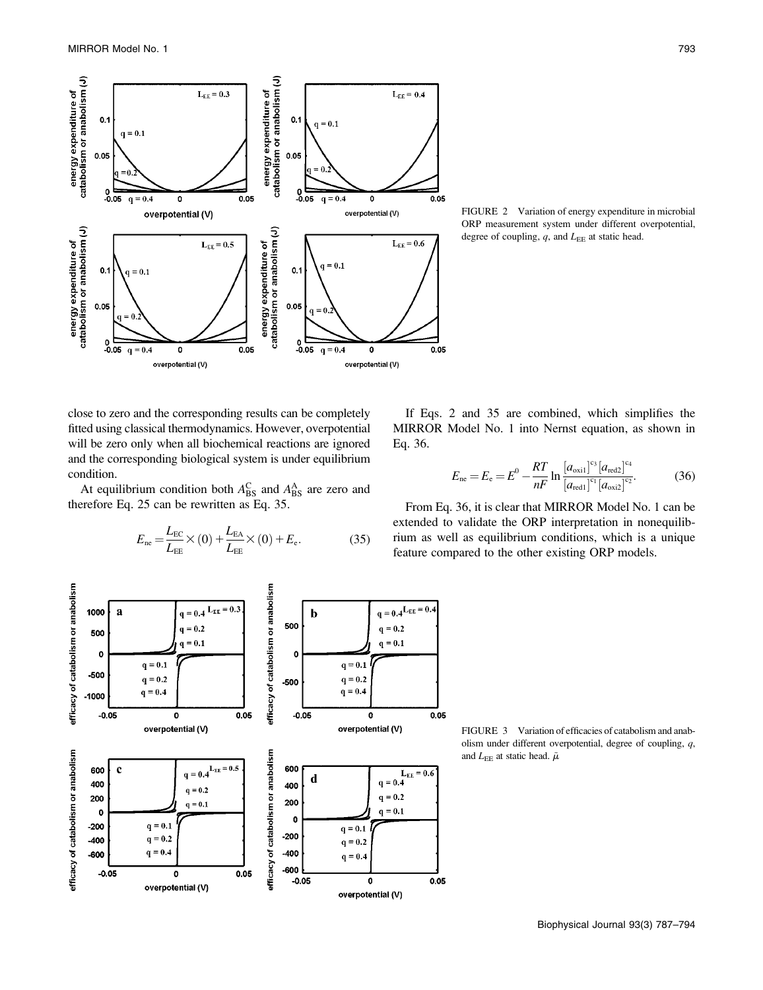

FIGURE 2 Variation of energy expenditure in microbial ORP measurement system under different overpotential, degree of coupling,  $q$ , and  $L_{EE}$  at static head.

close to zero and the corresponding results can be completely fitted using classical thermodynamics. However, overpotential will be zero only when all biochemical reactions are ignored and the corresponding biological system is under equilibrium condition.

At equilibrium condition both  $A_{\text{BS}}^{\text{C}}$  and  $A_{\text{BS}}^{\text{A}}$  are zero and therefore Eq. 25 can be rewritten as Eq. 35.

$$
E_{\text{ne}} = \frac{L_{\text{EC}}}{L_{\text{EE}}} \times (0) + \frac{L_{\text{EA}}}{L_{\text{EE}}} \times (0) + E_{\text{e}}.
$$
 (35)

If Eqs. 2 and 35 are combined, which simplifies the MIRROR Model No. 1 into Nernst equation, as shown in Eq. 36.

$$
E_{\rm ne} = E_{\rm e} = E^0 - \frac{RT}{nF} \ln \frac{\left[a_{\rm oxid}\right]^{\rm cs} \left[a_{\rm red}\right]^{\rm c_4}}{\left[a_{\rm red1}\right]^{\rm c_1} \left[a_{\rm oxid}\right]^{\rm c_2}}.
$$
 (36)

From Eq. 36, it is clear that MIRROR Model No. 1 can be extended to validate the ORP interpretation in nonequilibrium as well as equilibrium conditions, which is a unique feature compared to the other existing ORP models.



FIGURE 3 Variation of efficacies of catabolism and anabolism under different overpotential, degree of coupling, q, and  $L_{\text{EE}}$  at static head.  $\tilde{\mu}$